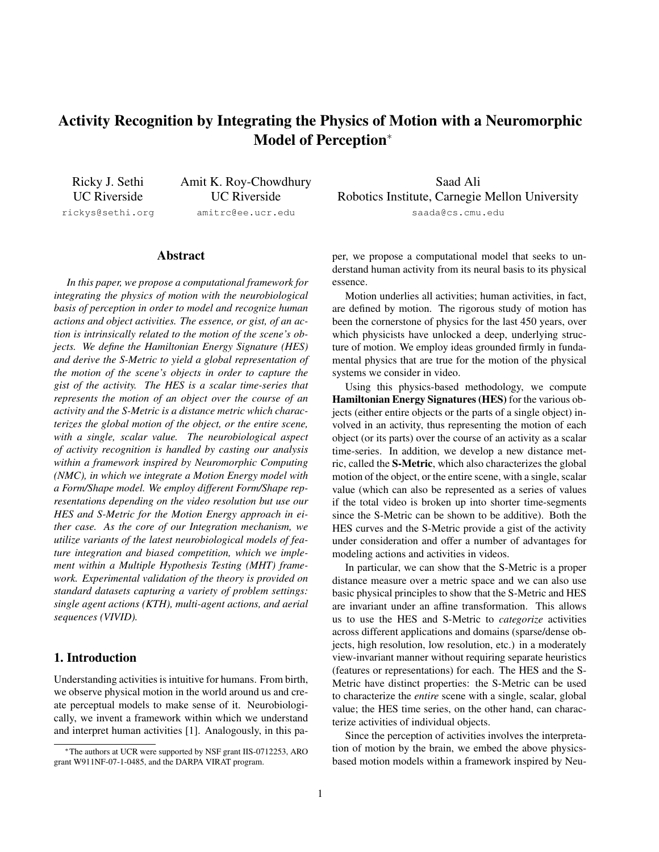# Activity Recognition by Integrating the Physics of Motion with a Neuromorphic Model of Perception<sup>\*</sup>

Ricky J. Sethi UC Riverside

rickys@sethi.org

Amit K. Roy-Chowdhury UC Riverside amitrc@ee.ucr.edu

# Abstract

*In this paper, we propose a computational framework for integrating the physics of motion with the neurobiological basis of perception in order to model and recognize human actions and object activities. The essence, or gist, of an action is intrinsically related to the motion of the scene's objects. We define the Hamiltonian Energy Signature (HES) and derive the S-Metric to yield a global representation of the motion of the scene's objects in order to capture the gist of the activity. The HES is a scalar time-series that represents the motion of an object over the course of an activity and the S-Metric is a distance metric which characterizes the global motion of the object, or the entire scene, with a single, scalar value. The neurobiological aspect of activity recognition is handled by casting our analysis within a framework inspired by Neuromorphic Computing (NMC), in which we integrate a Motion Energy model with a Form/Shape model. We employ different Form/Shape representations depending on the video resolution but use our HES and S-Metric for the Motion Energy approach in either case. As the core of our Integration mechanism, we utilize variants of the latest neurobiological models of feature integration and biased competition, which we implement within a Multiple Hypothesis Testing (MHT) framework. Experimental validation of the theory is provided on standard datasets capturing a variety of problem settings: single agent actions (KTH), multi-agent actions, and aerial sequences (VIVID).*

# 1. Introduction

Understanding activities is intuitive for humans. From birth, we observe physical motion in the world around us and create perceptual models to make sense of it. Neurobiologically, we invent a framework within which we understand and interpret human activities [1]. Analogously, in this pa-

Saad Ali Robotics Institute, Carnegie Mellon University saada@cs.cmu.edu

per, we propose a computational model that seeks to understand human activity from its neural basis to its physical essence.

Motion underlies all activities; human activities, in fact, are defined by motion. The rigorous study of motion has been the cornerstone of physics for the last 450 years, over which physicists have unlocked a deep, underlying structure of motion. We employ ideas grounded firmly in fundamental physics that are true for the motion of the physical systems we consider in video.

Using this physics-based methodology, we compute Hamiltonian Energy Signatures (HES) for the various objects (either entire objects or the parts of a single object) involved in an activity, thus representing the motion of each object (or its parts) over the course of an activity as a scalar time-series. In addition, we develop a new distance metric, called the S-Metric, which also characterizes the global motion of the object, or the entire scene, with a single, scalar value (which can also be represented as a series of values if the total video is broken up into shorter time-segments since the S-Metric can be shown to be additive). Both the HES curves and the S-Metric provide a gist of the activity under consideration and offer a number of advantages for modeling actions and activities in videos.

In particular, we can show that the S-Metric is a proper distance measure over a metric space and we can also use basic physical principles to show that the S-Metric and HES are invariant under an affine transformation. This allows us to use the HES and S-Metric to *categorize* activities across different applications and domains (sparse/dense objects, high resolution, low resolution, etc.) in a moderately view-invariant manner without requiring separate heuristics (features or representations) for each. The HES and the S-Metric have distinct properties: the S-Metric can be used to characterize the *entire* scene with a single, scalar, global value; the HES time series, on the other hand, can characterize activities of individual objects.

Since the perception of activities involves the interpretation of motion by the brain, we embed the above physicsbased motion models within a framework inspired by Neu-

<sup>∗</sup>The authors at UCR were supported by NSF grant IIS-0712253, ARO grant W911NF-07-1-0485, and the DARPA VIRAT program.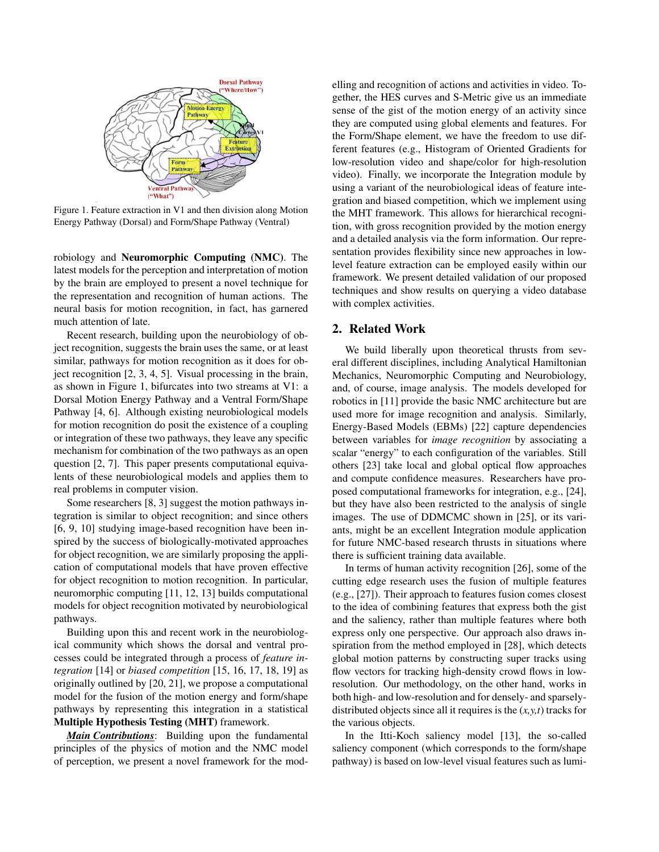

Figure 1. Feature extraction in V1 and then division along Motion Energy Pathway (Dorsal) and Form/Shape Pathway (Ventral)

robiology and Neuromorphic Computing (NMC). The latest models for the perception and interpretation of motion by the brain are employed to present a novel technique for the representation and recognition of human actions. The neural basis for motion recognition, in fact, has garnered much attention of late.

Recent research, building upon the neurobiology of object recognition, suggests the brain uses the same, or at least similar, pathways for motion recognition as it does for object recognition [2, 3, 4, 5]. Visual processing in the brain, as shown in Figure 1, bifurcates into two streams at V1: a Dorsal Motion Energy Pathway and a Ventral Form/Shape Pathway [4, 6]. Although existing neurobiological models for motion recognition do posit the existence of a coupling or integration of these two pathways, they leave any specific mechanism for combination of the two pathways as an open question [2, 7]. This paper presents computational equivalents of these neurobiological models and applies them to real problems in computer vision.

Some researchers [8, 3] suggest the motion pathways integration is similar to object recognition; and since others [6, 9, 10] studying image-based recognition have been inspired by the success of biologically-motivated approaches for object recognition, we are similarly proposing the application of computational models that have proven effective for object recognition to motion recognition. In particular, neuromorphic computing [11, 12, 13] builds computational models for object recognition motivated by neurobiological pathways.

Building upon this and recent work in the neurobiological community which shows the dorsal and ventral processes could be integrated through a process of *feature integration* [14] or *biased competition* [15, 16, 17, 18, 19] as originally outlined by [20, 21], we propose a computational model for the fusion of the motion energy and form/shape pathways by representing this integration in a statistical Multiple Hypothesis Testing (MHT) framework.

*Main Contributions*: Building upon the fundamental principles of the physics of motion and the NMC model of perception, we present a novel framework for the modelling and recognition of actions and activities in video. Together, the HES curves and S-Metric give us an immediate sense of the gist of the motion energy of an activity since they are computed using global elements and features. For the Form/Shape element, we have the freedom to use different features (e.g., Histogram of Oriented Gradients for low-resolution video and shape/color for high-resolution video). Finally, we incorporate the Integration module by using a variant of the neurobiological ideas of feature integration and biased competition, which we implement using the MHT framework. This allows for hierarchical recognition, with gross recognition provided by the motion energy and a detailed analysis via the form information. Our representation provides flexibility since new approaches in lowlevel feature extraction can be employed easily within our framework. We present detailed validation of our proposed techniques and show results on querying a video database with complex activities.

# 2. Related Work

We build liberally upon theoretical thrusts from several different disciplines, including Analytical Hamiltonian Mechanics, Neuromorphic Computing and Neurobiology, and, of course, image analysis. The models developed for robotics in [11] provide the basic NMC architecture but are used more for image recognition and analysis. Similarly, Energy-Based Models (EBMs) [22] capture dependencies between variables for *image recognition* by associating a scalar "energy" to each configuration of the variables. Still others [23] take local and global optical flow approaches and compute confidence measures. Researchers have proposed computational frameworks for integration, e.g., [24], but they have also been restricted to the analysis of single images. The use of DDMCMC shown in [25], or its variants, might be an excellent Integration module application for future NMC-based research thrusts in situations where there is sufficient training data available.

In terms of human activity recognition [26], some of the cutting edge research uses the fusion of multiple features (e.g., [27]). Their approach to features fusion comes closest to the idea of combining features that express both the gist and the saliency, rather than multiple features where both express only one perspective. Our approach also draws inspiration from the method employed in [28], which detects global motion patterns by constructing super tracks using flow vectors for tracking high-density crowd flows in lowresolution. Our methodology, on the other hand, works in both high- and low-resolution and for densely- and sparselydistributed objects since all it requires is the (*x,y,t*) tracks for the various objects.

In the Itti-Koch saliency model [13], the so-called saliency component (which corresponds to the form/shape pathway) is based on low-level visual features such as lumi-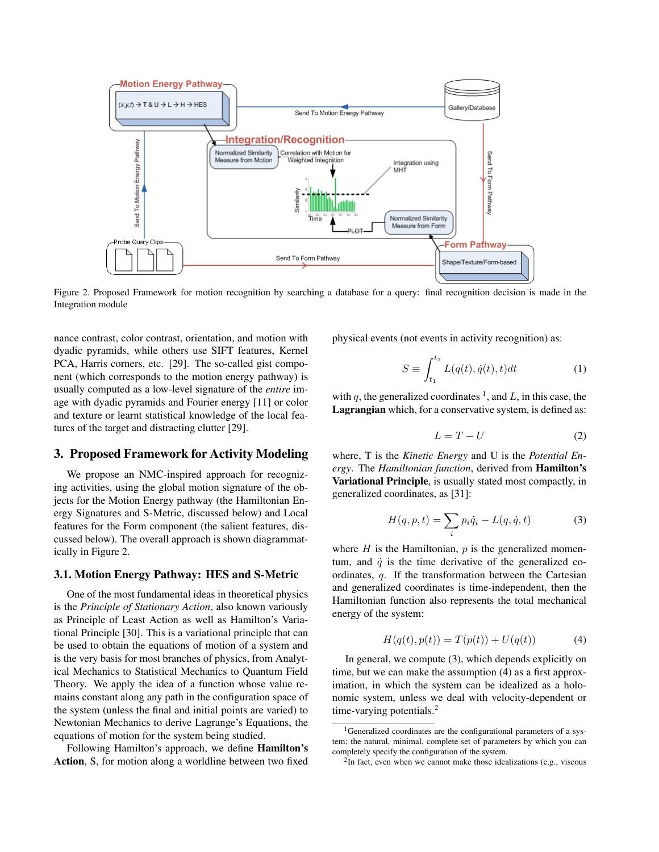

Figure 2. Proposed Framework for motion recognition by searching a database for a query: final recognition decision is made in the Integration module

nance contrast, color contrast, orientation, and motion with dyadic pyramids, while others use SIFT features, Kernel PCA, Harris corners, etc. [29]. The so-called gist component (which corresponds to the motion energy pathway) is usually computed as a low-level signature of the *entire* image with dyadic pyramids and Fourier energy [11] or color and texture or learnt statistical knowledge of the local features of the target and distracting clutter [29].

# 3. Proposed Framework for Activity Modeling

We propose an NMC-inspired approach for recognizing activities, using the global motion signature of the objects for the Motion Energy pathway (the Hamiltonian Energy Signatures and S-Metric, discussed below) and Local features for the Form component (the salient features, discussed below). The overall approach is shown diagrammatically in Figure 2.

## 3.1. Motion Energy Pathway: HES and S-Metric

One of the most fundamental ideas in theoretical physics is the *Principle of Stationary Action*, also known variously as Principle of Least Action as well as Hamilton's Variational Principle [30]. This is a variational principle that can be used to obtain the equations of motion of a system and is the very basis for most branches of physics, from Analytical Mechanics to Statistical Mechanics to Quantum Field Theory. We apply the idea of a function whose value remains constant along any path in the configuration space of the system (unless the final and initial points are varied) to Newtonian Mechanics to derive Lagrange's Equations, the equations of motion for the system being studied.

Following Hamilton's approach, we define Hamilton's Action, S, for motion along a worldline between two fixed physical events (not events in activity recognition) as:

$$
S \equiv \int_{t_1}^{t_2} L(q(t), \dot{q}(t), t) dt \tag{1}
$$

with q, the generalized coordinates <sup>1</sup>, and L, in this case, the Lagrangian which, for a conservative system, is defined as:

$$
L = T - U \tag{2}
$$

where, T is the *Kinetic Energy* and U is the *Potential Energy*. The *Hamiltonian function*, derived from Hamilton's Variational Principle, is usually stated most compactly, in generalized coordinates, as [31]:

$$
H(q, p, t) = \sum_{i} p_i \dot{q}_i - L(q, \dot{q}, t)
$$
 (3)

where  $H$  is the Hamiltonian,  $p$  is the generalized momentum, and  $\dot{q}$  is the time derivative of the generalized coordinates, q. If the transformation between the Cartesian and generalized coordinates is time-independent, then the Hamiltonian function also represents the total mechanical energy of the system:

$$
H(q(t), p(t)) = T(p(t)) + U(q(t))
$$
 (4)

In general, we compute (3), which depends explicitly on time, but we can make the assumption (4) as a first approximation, in which the system can be idealized as a holonomic system, unless we deal with velocity-dependent or time-varying potentials.<sup>2</sup>

<sup>&</sup>lt;sup>1</sup>Generalized coordinates are the configurational parameters of a system; the natural, minimal, complete set of parameters by which you can completely specify the configuration of the system.

 $2$ In fact, even when we cannot make those idealizations (e.g., viscous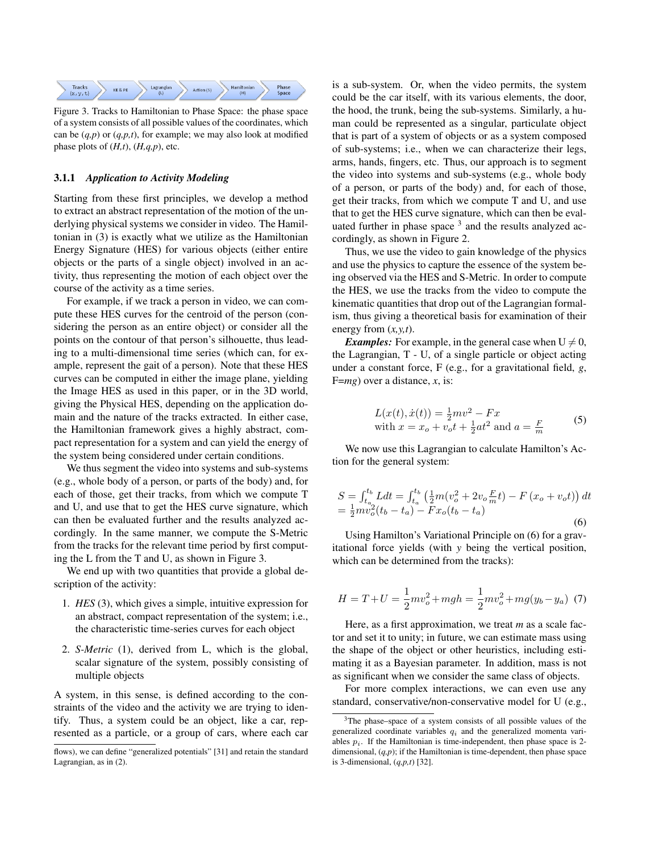

Figure 3. Tracks to Hamiltonian to Phase Space: the phase space of a system consists of all possible values of the coordinates, which can be (*q,p*) or (*q,p,t*), for example; we may also look at modified phase plots of (*H,t*), (*H,q,p*), etc.

#### 3.1.1 *Application to Activity Modeling*

Starting from these first principles, we develop a method to extract an abstract representation of the motion of the underlying physical systems we consider in video. The Hamiltonian in (3) is exactly what we utilize as the Hamiltonian Energy Signature (HES) for various objects (either entire objects or the parts of a single object) involved in an activity, thus representing the motion of each object over the course of the activity as a time series.

For example, if we track a person in video, we can compute these HES curves for the centroid of the person (considering the person as an entire object) or consider all the points on the contour of that person's silhouette, thus leading to a multi-dimensional time series (which can, for example, represent the gait of a person). Note that these HES curves can be computed in either the image plane, yielding the Image HES as used in this paper, or in the 3D world, giving the Physical HES, depending on the application domain and the nature of the tracks extracted. In either case, the Hamiltonian framework gives a highly abstract, compact representation for a system and can yield the energy of the system being considered under certain conditions.

We thus segment the video into systems and sub-systems (e.g., whole body of a person, or parts of the body) and, for each of those, get their tracks, from which we compute T and U, and use that to get the HES curve signature, which can then be evaluated further and the results analyzed accordingly. In the same manner, we compute the S-Metric from the tracks for the relevant time period by first computing the L from the T and U, as shown in Figure 3.

We end up with two quantities that provide a global description of the activity:

- 1. *HES* (3), which gives a simple, intuitive expression for an abstract, compact representation of the system; i.e., the characteristic time-series curves for each object
- 2. *S-Metric* (1), derived from L, which is the global, scalar signature of the system, possibly consisting of multiple objects

A system, in this sense, is defined according to the constraints of the video and the activity we are trying to identify. Thus, a system could be an object, like a car, represented as a particle, or a group of cars, where each car is a sub-system. Or, when the video permits, the system could be the car itself, with its various elements, the door, the hood, the trunk, being the sub-systems. Similarly, a human could be represented as a singular, particulate object that is part of a system of objects or as a system composed of sub-systems; i.e., when we can characterize their legs, arms, hands, fingers, etc. Thus, our approach is to segment the video into systems and sub-systems (e.g., whole body of a person, or parts of the body) and, for each of those, get their tracks, from which we compute T and U, and use that to get the HES curve signature, which can then be evaluated further in phase space  $3$  and the results analyzed accordingly, as shown in Figure 2.

Thus, we use the video to gain knowledge of the physics and use the physics to capture the essence of the system being observed via the HES and S-Metric. In order to compute the HES, we use the tracks from the video to compute the kinematic quantities that drop out of the Lagrangian formalism, thus giving a theoretical basis for examination of their energy from (*x,y,t*).

*Examples:* For example, in the general case when  $U \neq 0$ , the Lagrangian, T - U, of a single particle or object acting under a constant force, F (e.g., for a gravitational field, *g*, F=*mg*) over a distance, *x*, is:

$$
L(x(t), \dot{x}(t)) = \frac{1}{2}mv^2 - Fx
$$
  
with  $x = x_0 + v_0t + \frac{1}{2}at^2$  and  $a = \frac{F}{m}$  (5)

We now use this Lagrangian to calculate Hamilton's Action for the general system:

$$
S = \int_{t_a}^{t_b} L dt = \int_{t_a}^{t_b} \left( \frac{1}{2} m (v_o^2 + 2v_o \frac{F}{m} t) - F (x_o + v_o t) \right) dt
$$
  
=  $\frac{1}{2} m v_o^2 (t_b - t_a) - F x_o (t_b - t_a)$  (6)

Using Hamilton's Variational Principle on (6) for a gravitational force yields (with *y* being the vertical position, which can be determined from the tracks):

$$
H = T + U = \frac{1}{2}mv_o^2 + mgh = \frac{1}{2}mv_o^2 + mg(y_b - y_a)
$$
 (7)

Here, as a first approximation, we treat *m* as a scale factor and set it to unity; in future, we can estimate mass using the shape of the object or other heuristics, including estimating it as a Bayesian parameter. In addition, mass is not as significant when we consider the same class of objects.

For more complex interactions, we can even use any standard, conservative/non-conservative model for U (e.g.,

flows), we can define "generalized potentials" [31] and retain the standard Lagrangian, as in (2).

<sup>&</sup>lt;sup>3</sup>The phase–space of a system consists of all possible values of the generalized coordinate variables  $q_i$  and the generalized momenta variables  $p<sub>i</sub>$ . If the Hamiltonian is time-independent, then phase space is 2dimensional, (*q,p*); if the Hamiltonian is time-dependent, then phase space is 3-dimensional, (*q,p,t*) [32].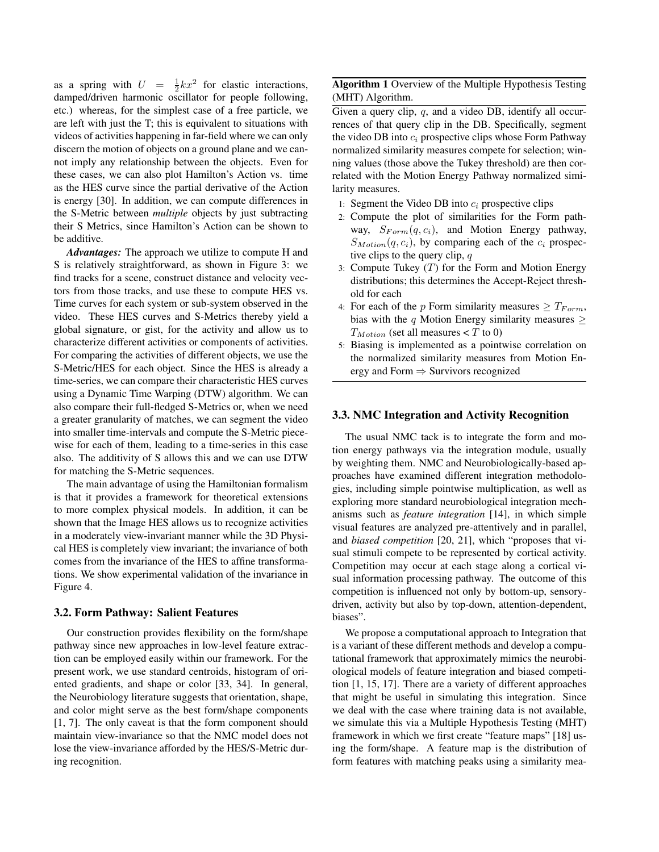as a spring with  $U = \frac{1}{2}kx^2$  for elastic interactions, damped/driven harmonic oscillator for people following, etc.) whereas, for the simplest case of a free particle, we are left with just the T; this is equivalent to situations with videos of activities happening in far-field where we can only discern the motion of objects on a ground plane and we cannot imply any relationship between the objects. Even for these cases, we can also plot Hamilton's Action vs. time as the HES curve since the partial derivative of the Action is energy [30]. In addition, we can compute differences in the S-Metric between *multiple* objects by just subtracting their S Metrics, since Hamilton's Action can be shown to be additive.

*Advantages:* The approach we utilize to compute H and S is relatively straightforward, as shown in Figure 3: we find tracks for a scene, construct distance and velocity vectors from those tracks, and use these to compute HES vs. Time curves for each system or sub-system observed in the video. These HES curves and S-Metrics thereby yield a global signature, or gist, for the activity and allow us to characterize different activities or components of activities. For comparing the activities of different objects, we use the S-Metric/HES for each object. Since the HES is already a time-series, we can compare their characteristic HES curves using a Dynamic Time Warping (DTW) algorithm. We can also compare their full-fledged S-Metrics or, when we need a greater granularity of matches, we can segment the video into smaller time-intervals and compute the S-Metric piecewise for each of them, leading to a time-series in this case also. The additivity of S allows this and we can use DTW for matching the S-Metric sequences.

The main advantage of using the Hamiltonian formalism is that it provides a framework for theoretical extensions to more complex physical models. In addition, it can be shown that the Image HES allows us to recognize activities in a moderately view-invariant manner while the 3D Physical HES is completely view invariant; the invariance of both comes from the invariance of the HES to affine transformations. We show experimental validation of the invariance in Figure 4.

#### 3.2. Form Pathway: Salient Features

Our construction provides flexibility on the form/shape pathway since new approaches in low-level feature extraction can be employed easily within our framework. For the present work, we use standard centroids, histogram of oriented gradients, and shape or color [33, 34]. In general, the Neurobiology literature suggests that orientation, shape, and color might serve as the best form/shape components [1, 7]. The only caveat is that the form component should maintain view-invariance so that the NMC model does not lose the view-invariance afforded by the HES/S-Metric during recognition.

Algorithm 1 Overview of the Multiple Hypothesis Testing (MHT) Algorithm.

Given a query clip,  $q$ , and a video DB, identify all occurrences of that query clip in the DB. Specifically, segment the video DB into  $c_i$  prospective clips whose Form Pathway normalized similarity measures compete for selection; winning values (those above the Tukey threshold) are then correlated with the Motion Energy Pathway normalized similarity measures.

- 1: Segment the Video DB into  $c_i$  prospective clips
- 2: Compute the plot of similarities for the Form pathway,  $S_{Form}(q, c_i)$ , and Motion Energy pathway,  $S<sub>Motion</sub>(q, c<sub>i</sub>)$ , by comparing each of the  $c<sub>i</sub>$  prospective clips to the query clip,  $q$
- 3: Compute Tukey  $(T)$  for the Form and Motion Energy distributions; this determines the Accept-Reject threshold for each
- 4: For each of the p Form similarity measures  $\geq T_{Form}$ , bias with the q Motion Energy similarity measures  $\geq$  $T_{Motion}$  (set all measures < T to 0)
- 5: Biasing is implemented as a pointwise correlation on the normalized similarity measures from Motion Energy and Form ⇒ Survivors recognized

# 3.3. NMC Integration and Activity Recognition

The usual NMC tack is to integrate the form and motion energy pathways via the integration module, usually by weighting them. NMC and Neurobiologically-based approaches have examined different integration methodologies, including simple pointwise multiplication, as well as exploring more standard neurobiological integration mechanisms such as *feature integration* [14], in which simple visual features are analyzed pre-attentively and in parallel, and *biased competition* [20, 21], which "proposes that visual stimuli compete to be represented by cortical activity. Competition may occur at each stage along a cortical visual information processing pathway. The outcome of this competition is influenced not only by bottom-up, sensorydriven, activity but also by top-down, attention-dependent, biases".

We propose a computational approach to Integration that is a variant of these different methods and develop a computational framework that approximately mimics the neurobiological models of feature integration and biased competition [1, 15, 17]. There are a variety of different approaches that might be useful in simulating this integration. Since we deal with the case where training data is not available, we simulate this via a Multiple Hypothesis Testing (MHT) framework in which we first create "feature maps" [18] using the form/shape. A feature map is the distribution of form features with matching peaks using a similarity mea-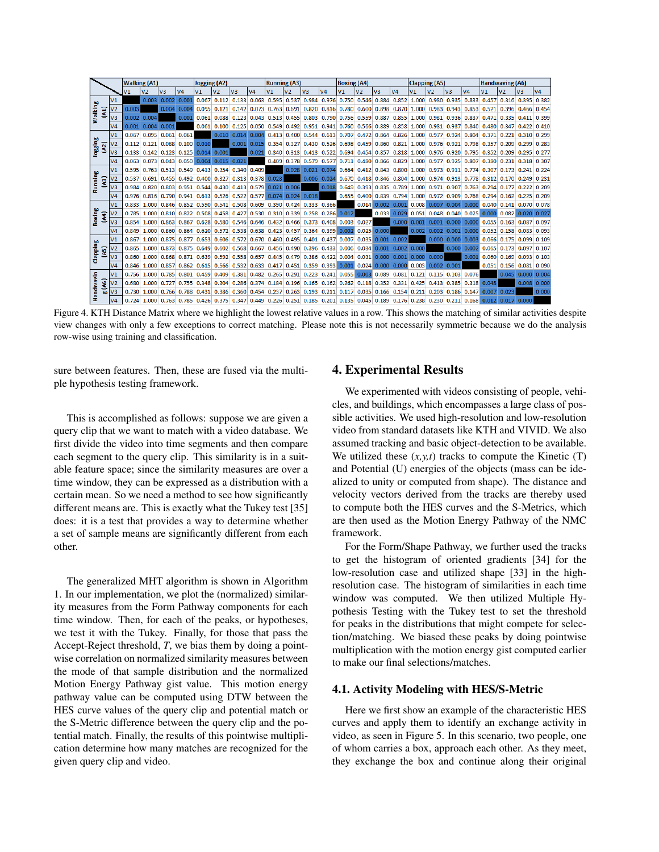

Figure 4. KTH Distance Matrix where we highlight the lowest relative values in a row. This shows the matching of similar activities despite view changes with only a few exceptions to correct matching. Please note this is not necessarily symmetric because we do the analysis row-wise using training and classification.

sure between features. Then, these are fused via the multiple hypothesis testing framework.

This is accomplished as follows: suppose we are given a query clip that we want to match with a video database. We first divide the video into time segments and then compare each segment to the query clip. This similarity is in a suitable feature space; since the similarity measures are over a time window, they can be expressed as a distribution with a certain mean. So we need a method to see how significantly different means are. This is exactly what the Tukey test [35] does: it is a test that provides a way to determine whether a set of sample means are significantly different from each other.

The generalized MHT algorithm is shown in Algorithm 1. In our implementation, we plot the (normalized) similarity measures from the Form Pathway components for each time window. Then, for each of the peaks, or hypotheses, we test it with the Tukey. Finally, for those that pass the Accept-Reject threshold, *T*, we bias them by doing a pointwise correlation on normalized similarity measures between the mode of that sample distribution and the normalized Motion Energy Pathway gist value. This motion energy pathway value can be computed using DTW between the HES curve values of the query clip and potential match or the S-Metric difference between the query clip and the potential match. Finally, the results of this pointwise multiplication determine how many matches are recognized for the given query clip and video.

# 4. Experimental Results

We experimented with videos consisting of people, vehicles, and buildings, which encompasses a large class of possible activities. We used high-resolution and low-resolution video from standard datasets like KTH and VIVID. We also assumed tracking and basic object-detection to be available. We utilized these  $(x, y, t)$  tracks to compute the Kinetic  $(T)$ and Potential (U) energies of the objects (mass can be idealized to unity or computed from shape). The distance and velocity vectors derived from the tracks are thereby used to compute both the HES curves and the S-Metrics, which are then used as the Motion Energy Pathway of the NMC framework.

For the Form/Shape Pathway, we further used the tracks to get the histogram of oriented gradients [34] for the low-resolution case and utilized shape [33] in the highresolution case. The histogram of similarities in each time window was computed. We then utilized Multiple Hypothesis Testing with the Tukey test to set the threshold for peaks in the distributions that might compete for selection/matching. We biased these peaks by doing pointwise multiplication with the motion energy gist computed earlier to make our final selections/matches.

# 4.1. Activity Modeling with HES/S-Metric

Here we first show an example of the characteristic HES curves and apply them to identify an exchange activity in video, as seen in Figure 5. In this scenario, two people, one of whom carries a box, approach each other. As they meet, they exchange the box and continue along their original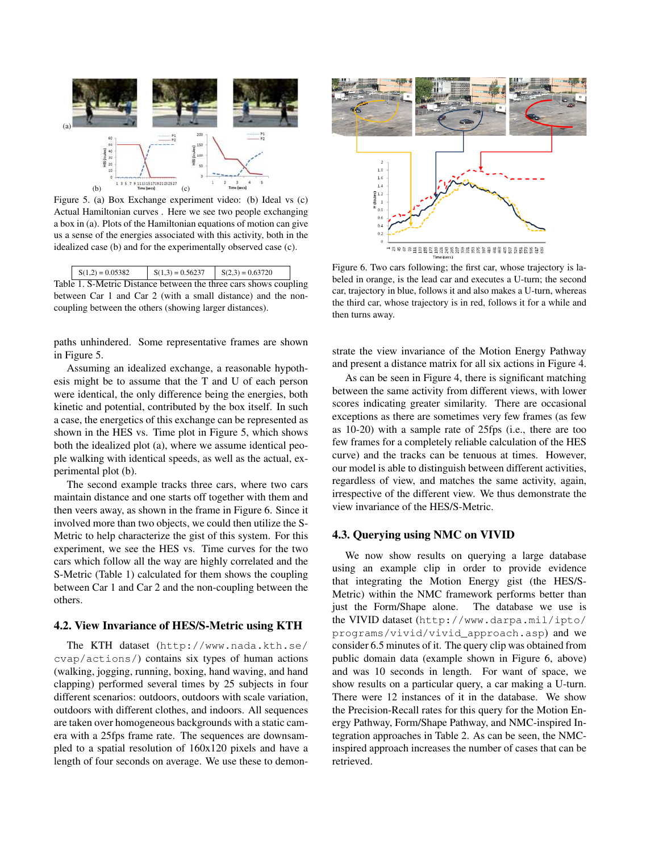

Figure 5. (a) Box Exchange experiment video: (b) Ideal vs (c) Actual Hamiltonian curves . Here we see two people exchanging a box in (a). Plots of the Hamiltonian equations of motion can give us a sense of the energies associated with this activity, both in the idealized case (b) and for the experimentally observed case (c).

| $S(1,2) = 0.05382$                                               | $S(1,3) = 0.56237$ | $S(2,3) = 0.63720$ |  |  |  |
|------------------------------------------------------------------|--------------------|--------------------|--|--|--|
| Table 1. S-Metric Distance between the three cars shows coupling |                    |                    |  |  |  |
| between Car 1 and Car 2 (with a small distance) and the non-     |                    |                    |  |  |  |
| coupling between the others (showing larger distances).          |                    |                    |  |  |  |

paths unhindered. Some representative frames are shown in Figure 5.

Assuming an idealized exchange, a reasonable hypothesis might be to assume that the T and U of each person were identical, the only difference being the energies, both kinetic and potential, contributed by the box itself. In such a case, the energetics of this exchange can be represented as shown in the HES vs. Time plot in Figure 5, which shows both the idealized plot (a), where we assume identical people walking with identical speeds, as well as the actual, experimental plot (b).

The second example tracks three cars, where two cars maintain distance and one starts off together with them and then veers away, as shown in the frame in Figure 6. Since it involved more than two objects, we could then utilize the S-Metric to help characterize the gist of this system. For this experiment, we see the HES vs. Time curves for the two cars which follow all the way are highly correlated and the S-Metric (Table 1) calculated for them shows the coupling between Car 1 and Car 2 and the non-coupling between the others.

#### 4.2. View Invariance of HES/S-Metric using KTH

The KTH dataset (http://www.nada.kth.se/ cvap/actions/) contains six types of human actions (walking, jogging, running, boxing, hand waving, and hand clapping) performed several times by 25 subjects in four different scenarios: outdoors, outdoors with scale variation, outdoors with different clothes, and indoors. All sequences are taken over homogeneous backgrounds with a static camera with a 25fps frame rate. The sequences are downsampled to a spatial resolution of 160x120 pixels and have a length of four seconds on average. We use these to demon-



Figure 6. Two cars following; the first car, whose trajectory is labeled in orange, is the lead car and executes a U-turn; the second car, trajectory in blue, follows it and also makes a U-turn, whereas the third car, whose trajectory is in red, follows it for a while and then turns away.

strate the view invariance of the Motion Energy Pathway and present a distance matrix for all six actions in Figure 4.

As can be seen in Figure 4, there is significant matching between the same activity from different views, with lower scores indicating greater similarity. There are occasional exceptions as there are sometimes very few frames (as few as 10-20) with a sample rate of 25fps (i.e., there are too few frames for a completely reliable calculation of the HES curve) and the tracks can be tenuous at times. However, our model is able to distinguish between different activities, regardless of view, and matches the same activity, again, irrespective of the different view. We thus demonstrate the view invariance of the HES/S-Metric.

### 4.3. Querying using NMC on VIVID

We now show results on querying a large database using an example clip in order to provide evidence that integrating the Motion Energy gist (the HES/S-Metric) within the NMC framework performs better than just the Form/Shape alone. The database we use is the VIVID dataset (http://www.darpa.mil/ipto/ programs/vivid/vivid\_approach.asp) and we consider 6.5 minutes of it. The query clip was obtained from public domain data (example shown in Figure 6, above) and was 10 seconds in length. For want of space, we show results on a particular query, a car making a U-turn. There were 12 instances of it in the database. We show the Precision-Recall rates for this query for the Motion Energy Pathway, Form/Shape Pathway, and NMC-inspired Integration approaches in Table 2. As can be seen, the NMCinspired approach increases the number of cases that can be retrieved.